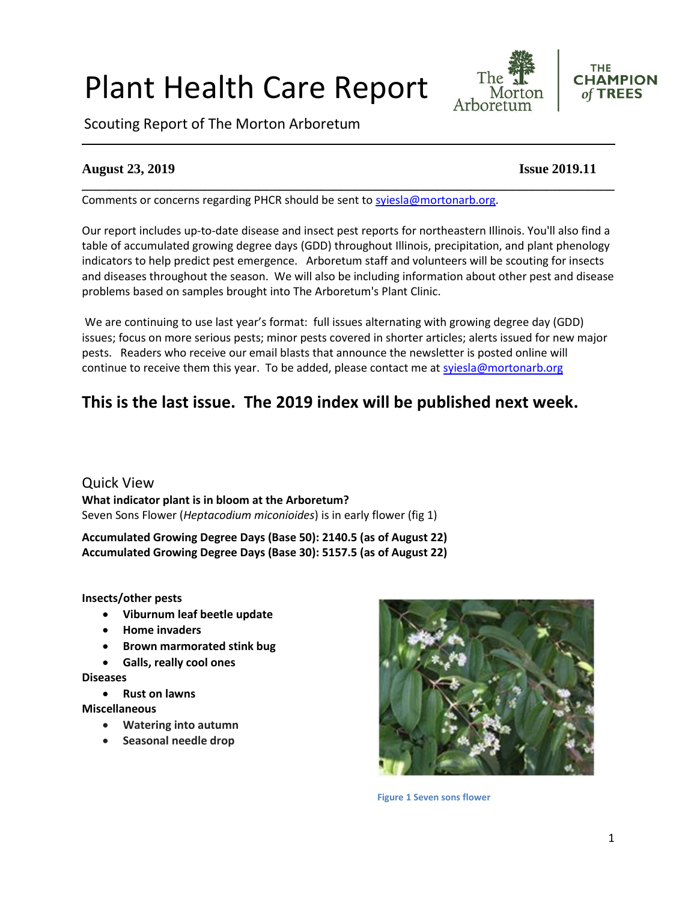# Plant Health Care Report







## **August 23, 2019 Issue 2019.11**

Comments or concerns regarding PHCR should be sent to [syiesla@mortonarb.org.](mailto:syiesla@mortonarb.org)

Our report includes up-to-date disease and insect pest reports for northeastern Illinois. You'll also find a table of accumulated growing degree days (GDD) throughout Illinois, precipitation, and plant phenology indicators to help predict pest emergence. Arboretum staff and volunteers will be scouting for insects and diseases throughout the season. We will also be including information about other pest and disease problems based on samples brought into The Arboretum's Plant Clinic.

**\_\_\_\_\_\_\_\_\_\_\_\_\_\_\_\_\_\_\_\_\_\_\_\_\_\_\_\_\_\_\_\_\_\_\_\_\_\_\_\_\_\_\_\_\_\_\_\_\_\_\_\_\_\_\_\_\_\_\_\_\_\_\_\_\_\_\_\_\_\_\_\_\_\_\_\_\_\_**

We are continuing to use last year's format: full issues alternating with growing degree day (GDD) issues; focus on more serious pests; minor pests covered in shorter articles; alerts issued for new major pests. Readers who receive our email blasts that announce the newsletter is posted online will continue to receive them this year. To be added, please contact me at [syiesla@mortonarb.org](mailto:syiesla@mortonarb.org)

## **This is the last issue. The 2019 index will be published next week.**

Quick View **What indicator plant is in bloom at the Arboretum?** Seven Sons Flower (*Heptacodium miconioides*) is in early flower (fig 1)

**Accumulated Growing Degree Days (Base 50): 2140.5 (as of August 22) Accumulated Growing Degree Days (Base 30): 5157.5 (as of August 22)**

**Insects/other pests**

- **Viburnum leaf beetle update**
- **Home invaders**
- **Brown marmorated stink bug**
- **Galls, really cool ones**

#### **Diseases**

• **Rust on lawns**

**Miscellaneous**

- **Watering into autumn**
- **Seasonal needle drop**



**Figure 1 Seven sons flower**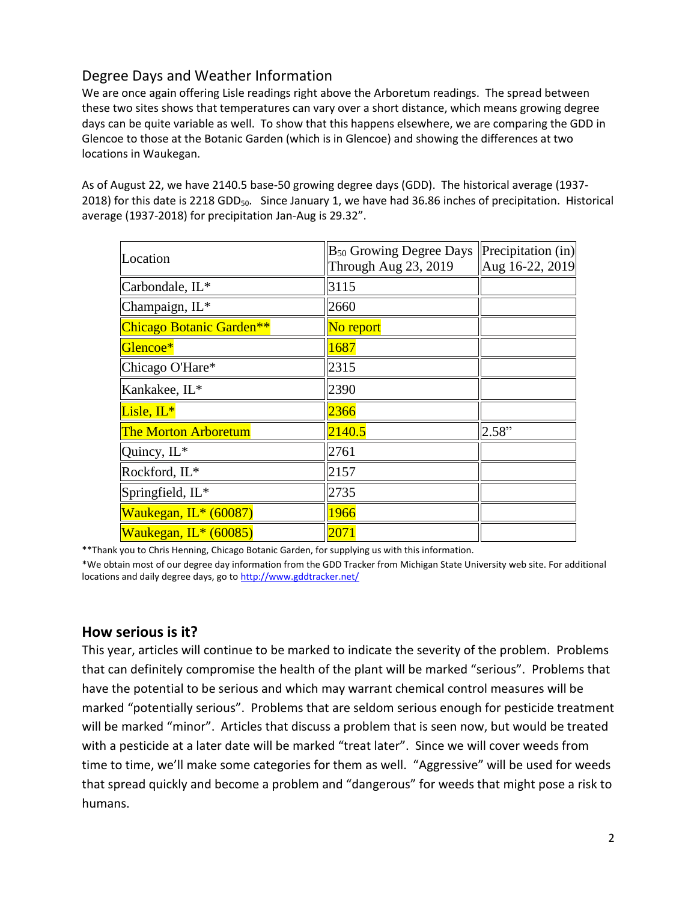## Degree Days and Weather Information

We are once again offering Lisle readings right above the Arboretum readings. The spread between these two sites shows that temperatures can vary over a short distance, which means growing degree days can be quite variable as well. To show that this happens elsewhere, we are comparing the GDD in Glencoe to those at the Botanic Garden (which is in Glencoe) and showing the differences at two locations in Waukegan.

As of August 22, we have 2140.5 base-50 growing degree days (GDD). The historical average (1937- 2018) for this date is 2218 GDD<sub>50</sub>. Since January 1, we have had 36.86 inches of precipitation. Historical average (1937-2018) for precipitation Jan-Aug is 29.32".

| Location                    | $B_{50}$ Growing Degree Days<br>Through Aug 23, 2019 | Precipitation (in)<br>Aug 16-22, 2019 |
|-----------------------------|------------------------------------------------------|---------------------------------------|
| Carbondale, IL*             | 3115                                                 |                                       |
| Champaign, IL*              | 2660                                                 |                                       |
| Chicago Botanic Garden**    | No report                                            |                                       |
| Glencoe*                    | 1687                                                 |                                       |
| Chicago O'Hare*             | 2315                                                 |                                       |
| Kankakee, IL*               | 2390                                                 |                                       |
| Lisle, IL*                  | 2366                                                 |                                       |
| <b>The Morton Arboretum</b> | 2140.5                                               | 2.58"                                 |
| Quincy, IL*                 | 2761                                                 |                                       |
| Rockford, IL*               | 2157                                                 |                                       |
| Springfield, IL*            | 2735                                                 |                                       |
| Waukegan, IL* (60087)       | 1966                                                 |                                       |
| Waukegan, IL* (60085)       | 2071                                                 |                                       |

\*\*Thank you to Chris Henning, Chicago Botanic Garden, for supplying us with this information.

\*We obtain most of our degree day information from the GDD Tracker from Michigan State University web site. For additional locations and daily degree days, go t[o http://www.gddtracker.net/](http://www.gddtracker.net/)

## **How serious is it?**

This year, articles will continue to be marked to indicate the severity of the problem. Problems that can definitely compromise the health of the plant will be marked "serious".Problems that have the potential to be serious and which may warrant chemical control measures will be marked "potentially serious". Problems that are seldom serious enough for pesticide treatment will be marked "minor". Articles that discuss a problem that is seen now, but would be treated with a pesticide at a later date will be marked "treat later". Since we will cover weeds from time to time, we'll make some categories for them as well. "Aggressive" will be used for weeds that spread quickly and become a problem and "dangerous" for weeds that might pose a risk to humans.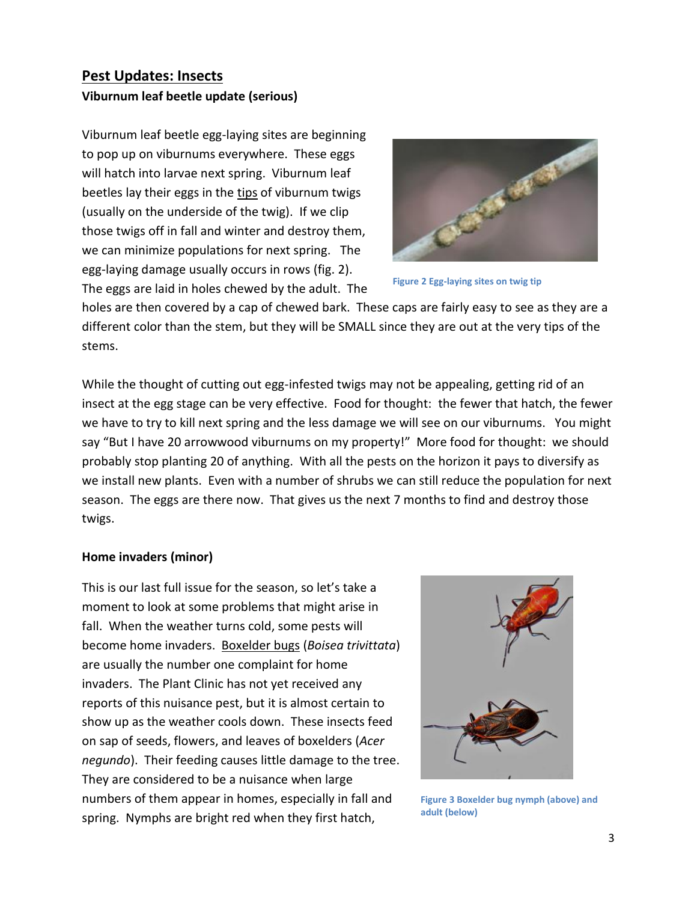## **Pest Updates: Insects Viburnum leaf beetle update (serious)**

Viburnum leaf beetle egg-laying sites are beginning to pop up on viburnums everywhere. These eggs will hatch into larvae next spring. Viburnum leaf beetles lay their eggs in the tips of viburnum twigs (usually on the underside of the twig). If we clip those twigs off in fall and winter and destroy them, we can minimize populations for next spring. The egg-laying damage usually occurs in rows (fig. 2). The eggs are laid in holes chewed by the adult. The



**Figure 2 Egg-laying sites on twig tip**

holes are then covered by a cap of chewed bark. These caps are fairly easy to see as they are a different color than the stem, but they will be SMALL since they are out at the very tips of the stems.

While the thought of cutting out egg-infested twigs may not be appealing, getting rid of an insect at the egg stage can be very effective. Food for thought: the fewer that hatch, the fewer we have to try to kill next spring and the less damage we will see on our viburnums. You might say "But I have 20 arrowwood viburnums on my property!" More food for thought: we should probably stop planting 20 of anything. With all the pests on the horizon it pays to diversify as we install new plants. Even with a number of shrubs we can still reduce the population for next season. The eggs are there now. That gives us the next 7 months to find and destroy those twigs.

#### **Home invaders (minor)**

This is our last full issue for the season, so let's take a moment to look at some problems that might arise in fall. When the weather turns cold, some pests will become home invaders. Boxelder bugs (*Boisea trivittata*) are usually the number one complaint for home invaders. The Plant Clinic has not yet received any reports of this nuisance pest, but it is almost certain to show up as the weather cools down. These insects feed on sap of seeds, flowers, and leaves of boxelders (*Acer negundo*). Their feeding causes little damage to the tree. They are considered to be a nuisance when large numbers of them appear in homes, especially in fall and spring. Nymphs are bright red when they first hatch,



**Figure 3 Boxelder bug nymph (above) and adult (below)**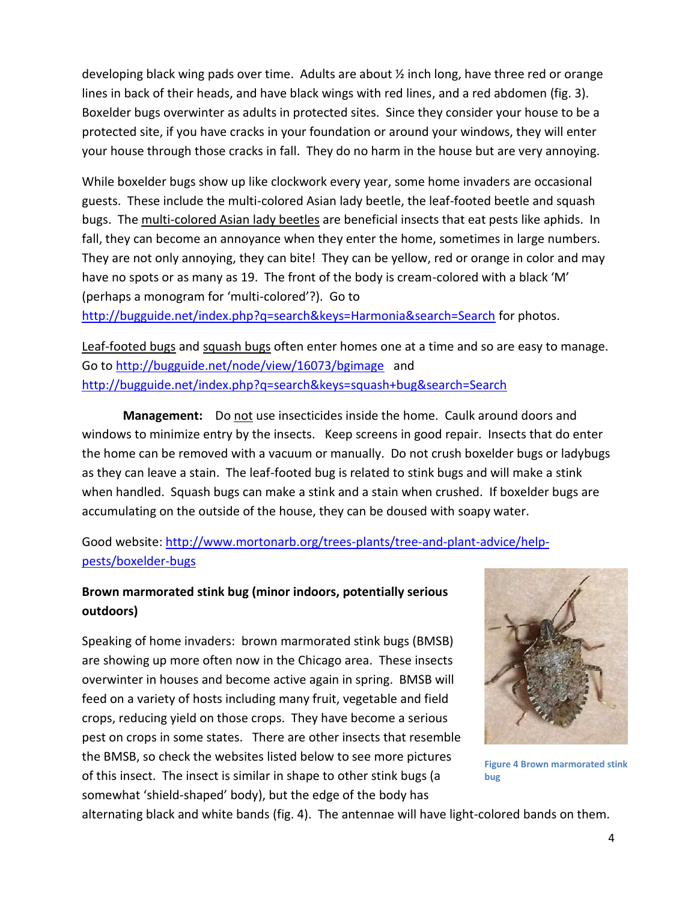developing black wing pads over time. Adults are about ½ inch long, have three red or orange lines in back of their heads, and have black wings with red lines, and a red abdomen (fig. 3). Boxelder bugs overwinter as adults in protected sites. Since they consider your house to be a protected site, if you have cracks in your foundation or around your windows, they will enter your house through those cracks in fall. They do no harm in the house but are very annoying.

While boxelder bugs show up like clockwork every year, some home invaders are occasional guests. These include the multi-colored Asian lady beetle, the leaf-footed beetle and squash bugs. The multi-colored Asian lady beetles are beneficial insects that eat pests like aphids. In fall, they can become an annoyance when they enter the home, sometimes in large numbers. They are not only annoying, they can bite! They can be yellow, red or orange in color and may have no spots or as many as 19. The front of the body is cream-colored with a black 'M' (perhaps a monogram for 'multi-colored'?). Go to

<http://bugguide.net/index.php?q=search&keys=Harmonia&search=Search> for photos.

Leaf-footed bugs and squash bugs often enter homes one at a time and so are easy to manage. Go t[o http://bugguide.net/node/view/16073/bgimage](http://bugguide.net/node/view/16073/bgimage) and <http://bugguide.net/index.php?q=search&keys=squash+bug&search=Search>

**Management:** Do not use insecticides inside the home. Caulk around doors and windows to minimize entry by the insects. Keep screens in good repair. Insects that do enter the home can be removed with a vacuum or manually. Do not crush boxelder bugs or ladybugs as they can leave a stain. The leaf-footed bug is related to stink bugs and will make a stink when handled. Squash bugs can make a stink and a stain when crushed. If boxelder bugs are accumulating on the outside of the house, they can be doused with soapy water.

Good website: [http://www.mortonarb.org/trees-plants/tree-and-plant-advice/help](http://www.mortonarb.org/trees-plants/tree-and-plant-advice/help-pests/boxelder-bugs)[pests/boxelder-bugs](http://www.mortonarb.org/trees-plants/tree-and-plant-advice/help-pests/boxelder-bugs)

## **Brown marmorated stink bug (minor indoors, potentially serious outdoors)**

Speaking of home invaders: brown marmorated stink bugs (BMSB) are showing up more often now in the Chicago area. These insects overwinter in houses and become active again in spring. BMSB will feed on a variety of hosts including many fruit, vegetable and field crops, reducing yield on those crops. They have become a serious pest on crops in some states. There are other insects that resemble the BMSB, so check the websites listed below to see more pictures of this insect. The insect is similar in shape to other stink bugs (a somewhat 'shield-shaped' body), but the edge of the body has



**Figure 4 Brown marmorated stink bug**

alternating black and white bands (fig. 4). The antennae will have light-colored bands on them.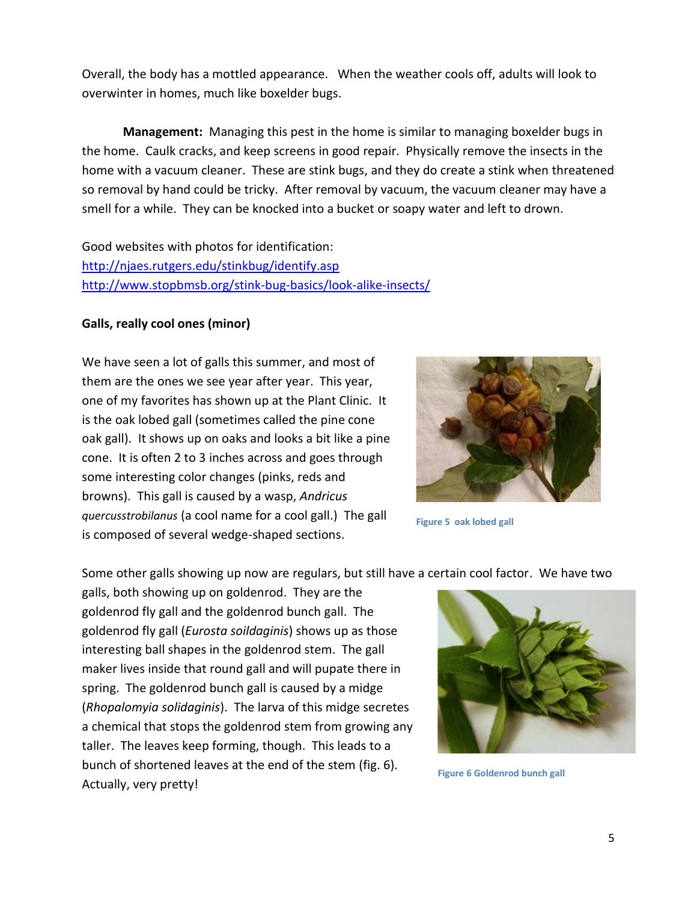Overall, the body has a mottled appearance. When the weather cools off, adults will look to overwinter in homes, much like boxelder bugs.

**Management:** Managing this pest in the home is similar to managing boxelder bugs in the home. Caulk cracks, and keep screens in good repair. Physically remove the insects in the home with a vacuum cleaner. These are stink bugs, and they do create a stink when threatened so removal by hand could be tricky. After removal by vacuum, the vacuum cleaner may have a smell for a while. They can be knocked into a bucket or soapy water and left to drown.

Good websites with photos for identification: <http://njaes.rutgers.edu/stinkbug/identify.asp> <http://www.stopbmsb.org/stink-bug-basics/look-alike-insects/>

#### **Galls, really cool ones (minor)**

We have seen a lot of galls this summer, and most of them are the ones we see year after year. This year, one of my favorites has shown up at the Plant Clinic. It is the oak lobed gall (sometimes called the pine cone oak gall). It shows up on oaks and looks a bit like a pine cone. It is often 2 to 3 inches across and goes through some interesting color changes (pinks, reds and browns). This gall is caused by a wasp, *Andricus quercusstrobilanus* (a cool name for a cool gall.) The gall is composed of several wedge-shaped sections.



**Figure 5 oak lobed gall**

Some other galls showing up now are regulars, but still have a certain cool factor. We have two

galls, both showing up on goldenrod. They are the goldenrod fly gall and the goldenrod bunch gall. The goldenrod fly gall (*Eurosta soildaginis*) shows up as those interesting ball shapes in the goldenrod stem. The gall maker lives inside that round gall and will pupate there in spring. The goldenrod bunch gall is caused by a midge (*Rhopalomyia solidaginis*). The larva of this midge secretes a chemical that stops the goldenrod stem from growing any taller. The leaves keep forming, though. This leads to a bunch of shortened leaves at the end of the stem (fig. 6). Actually, very pretty!



**Figure 6 Goldenrod bunch gall**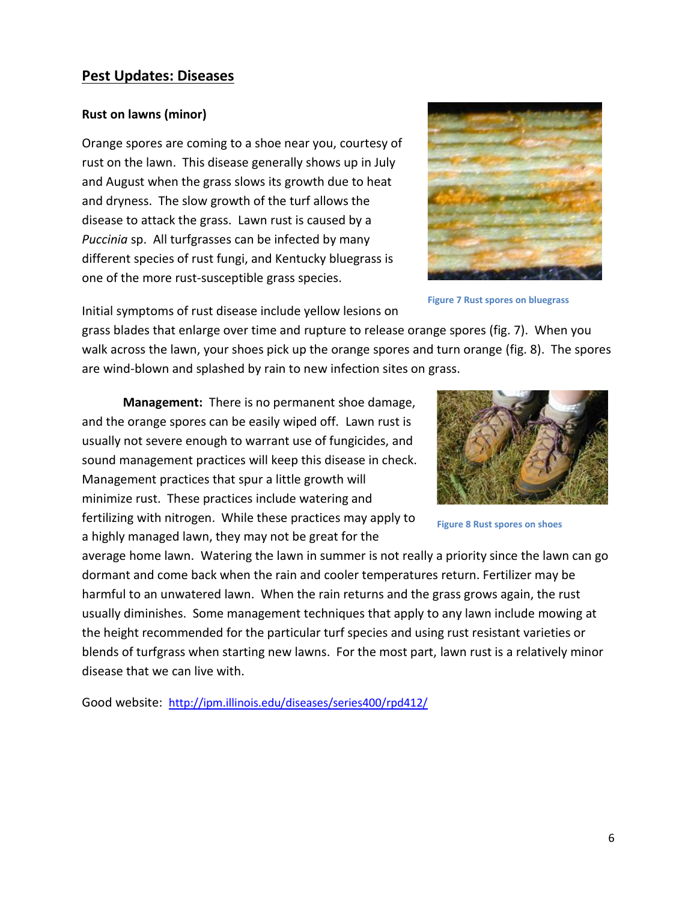#### **Pest Updates: Diseases**

#### **Rust on lawns (minor)**

Orange spores are coming to a shoe near you, courtesy of rust on the lawn. This disease generally shows up in July and August when the grass slows its growth due to heat and dryness. The slow growth of the turf allows the disease to attack the grass. Lawn rust is caused by a *Puccinia* sp. All turfgrasses can be infected by many different species of rust fungi, and Kentucky bluegrass is one of the more rust-susceptible grass species.



**Figure 7 Rust spores on bluegrass**

Initial symptoms of rust disease include yellow lesions on

grass blades that enlarge over time and rupture to release orange spores (fig. 7). When you walk across the lawn, your shoes pick up the orange spores and turn orange (fig. 8). The spores are wind-blown and splashed by rain to new infection sites on grass.

**Management:** There is no permanent shoe damage, and the orange spores can be easily wiped off. Lawn rust is usually not severe enough to warrant use of fungicides, and sound management practices will keep this disease in check. Management practices that spur a little growth will minimize rust. These practices include watering and fertilizing with nitrogen. While these practices may apply to a highly managed lawn, they may not be great for the



**Figure 8 Rust spores on shoes**

average home lawn. Watering the lawn in summer is not really a priority since the lawn can go dormant and come back when the rain and cooler temperatures return. Fertilizer may be harmful to an unwatered lawn. When the rain returns and the grass grows again, the rust usually diminishes. Some management techniques that apply to any lawn include mowing at the height recommended for the particular turf species and using rust resistant varieties or blends of turfgrass when starting new lawns. For the most part, lawn rust is a relatively minor disease that we can live with.

Good website: <http://ipm.illinois.edu/diseases/series400/rpd412/>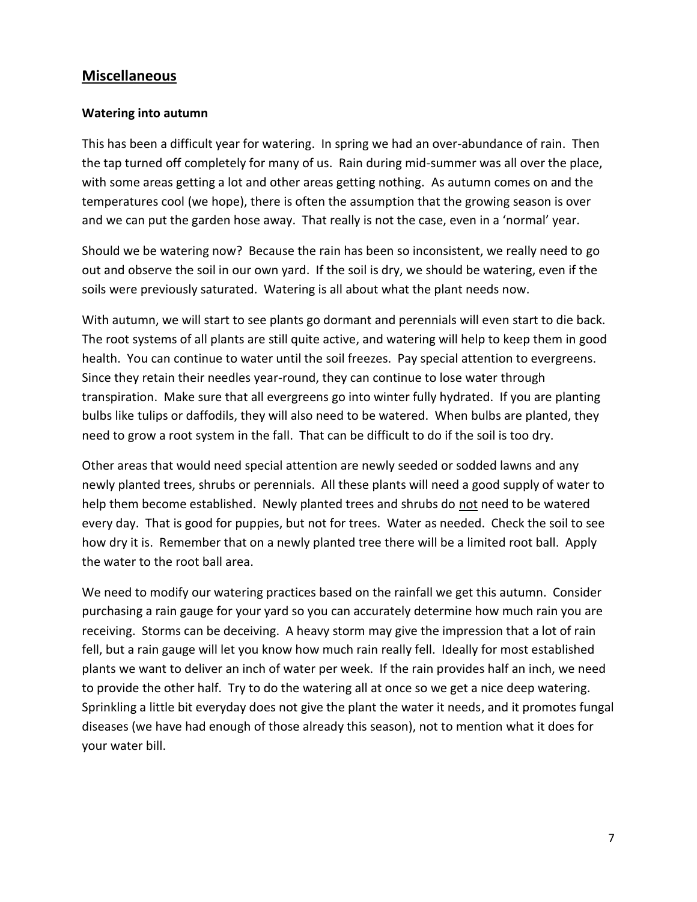## **Miscellaneous**

#### **Watering into autumn**

This has been a difficult year for watering. In spring we had an over-abundance of rain. Then the tap turned off completely for many of us. Rain during mid-summer was all over the place, with some areas getting a lot and other areas getting nothing. As autumn comes on and the temperatures cool (we hope), there is often the assumption that the growing season is over and we can put the garden hose away. That really is not the case, even in a 'normal' year.

Should we be watering now? Because the rain has been so inconsistent, we really need to go out and observe the soil in our own yard. If the soil is dry, we should be watering, even if the soils were previously saturated. Watering is all about what the plant needs now.

With autumn, we will start to see plants go dormant and perennials will even start to die back. The root systems of all plants are still quite active, and watering will help to keep them in good health. You can continue to water until the soil freezes. Pay special attention to evergreens. Since they retain their needles year-round, they can continue to lose water through transpiration. Make sure that all evergreens go into winter fully hydrated. If you are planting bulbs like tulips or daffodils, they will also need to be watered. When bulbs are planted, they need to grow a root system in the fall. That can be difficult to do if the soil is too dry.

Other areas that would need special attention are newly seeded or sodded lawns and any newly planted trees, shrubs or perennials. All these plants will need a good supply of water to help them become established. Newly planted trees and shrubs do not need to be watered every day. That is good for puppies, but not for trees. Water as needed. Check the soil to see how dry it is. Remember that on a newly planted tree there will be a limited root ball. Apply the water to the root ball area.

We need to modify our watering practices based on the rainfall we get this autumn. Consider purchasing a rain gauge for your yard so you can accurately determine how much rain you are receiving. Storms can be deceiving. A heavy storm may give the impression that a lot of rain fell, but a rain gauge will let you know how much rain really fell. Ideally for most established plants we want to deliver an inch of water per week. If the rain provides half an inch, we need to provide the other half. Try to do the watering all at once so we get a nice deep watering. Sprinkling a little bit everyday does not give the plant the water it needs, and it promotes fungal diseases (we have had enough of those already this season), not to mention what it does for your water bill.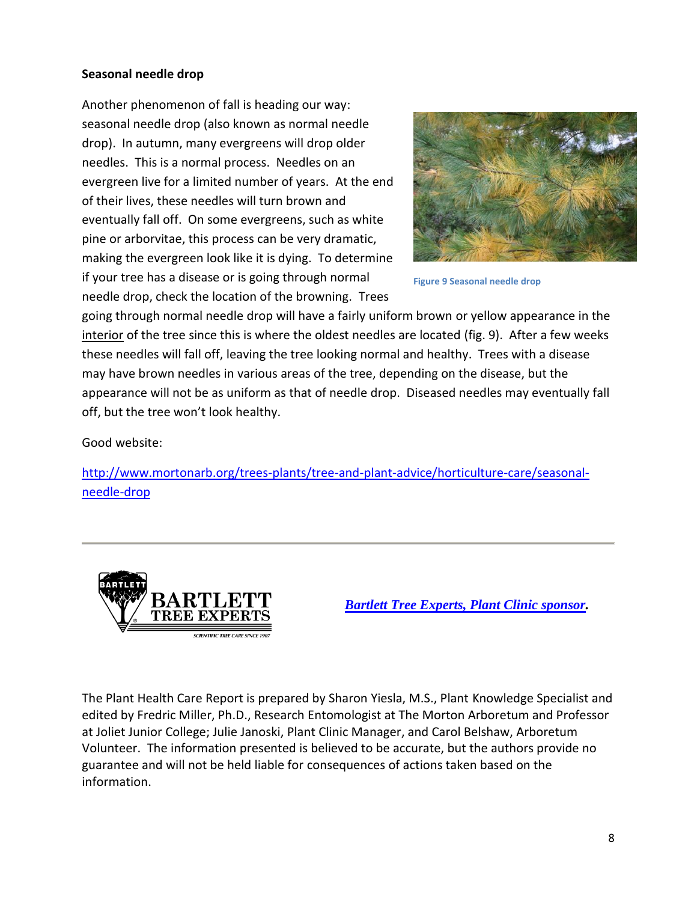#### **Seasonal needle drop**

Another phenomenon of fall is heading our way: seasonal needle drop (also known as normal needle drop). In autumn, many evergreens will drop older needles. This is a normal process. Needles on an evergreen live for a limited number of years. At the end of their lives, these needles will turn brown and eventually fall off. On some evergreens, such as white pine or arborvitae, this process can be very dramatic, making the evergreen look like it is dying. To determine if your tree has a disease or is going through normal needle drop, check the location of the browning. Trees



**Figure 9 Seasonal needle drop**

going through normal needle drop will have a fairly uniform brown or yellow appearance in the interior of the tree since this is where the oldest needles are located (fig. 9). After a few weeks these needles will fall off, leaving the tree looking normal and healthy. Trees with a disease may have brown needles in various areas of the tree, depending on the disease, but the appearance will not be as uniform as that of needle drop. Diseased needles may eventually fall off, but the tree won't look healthy.

Good website:

[http://www.mortonarb.org/trees-plants/tree-and-plant-advice/horticulture-care/seasonal](http://www.mortonarb.org/trees-plants/tree-and-plant-advice/horticulture-care/seasonal-needle-drop)[needle-drop](http://www.mortonarb.org/trees-plants/tree-and-plant-advice/horticulture-care/seasonal-needle-drop)



*[Bartlett Tree Experts, Plant Clinic](https://www.bartlett.com/) sponsor.*

The Plant Health Care Report is prepared by Sharon Yiesla, M.S., Plant Knowledge Specialist and edited by Fredric Miller, Ph.D., Research Entomologist at The Morton Arboretum and Professor at Joliet Junior College; Julie Janoski, Plant Clinic Manager, and Carol Belshaw, Arboretum Volunteer. The information presented is believed to be accurate, but the authors provide no guarantee and will not be held liable for consequences of actions taken based on the information.